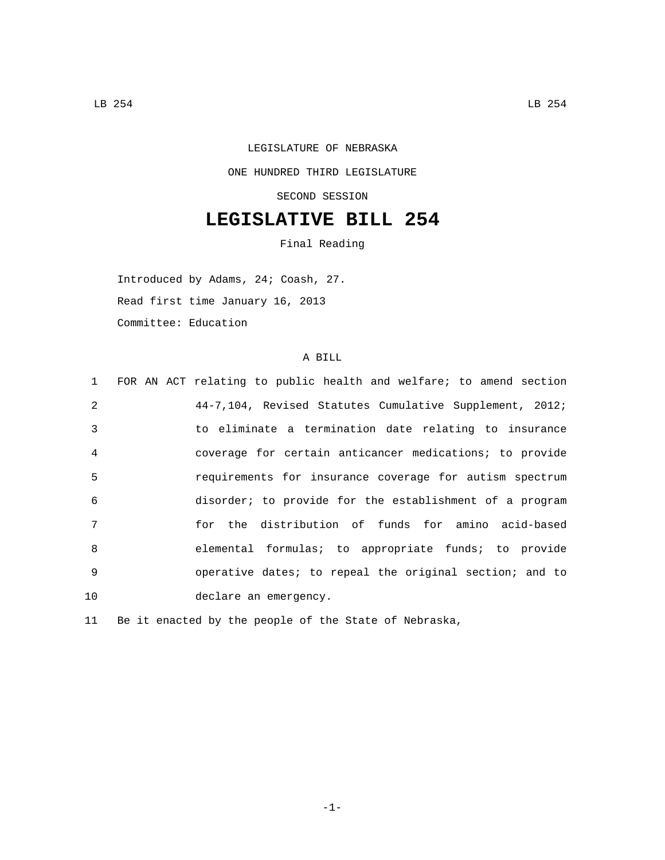## LEGISLATURE OF NEBRASKA ONE HUNDRED THIRD LEGISLATURE SECOND SESSION

## **LEGISLATIVE BILL 254**

Final Reading

Introduced by Adams, 24; Coash, 27. Read first time January 16, 2013

Committee: Education

## A BILL

|                | 1 FOR AN ACT relating to public health and welfare; to amend section |
|----------------|----------------------------------------------------------------------|
| $\mathcal{L}$  | 44-7,104, Revised Statutes Cumulative Supplement, 2012;              |
| $\mathcal{E}$  | to eliminate a termination date relating to insurance                |
| $\overline{4}$ | coverage for certain anticancer medications; to provide              |
| 5              | requirements for insurance coverage for autism spectrum              |
| 6              | disorder; to provide for the establishment of a program              |
| 7              | for the distribution of funds for amino acid-based                   |
| $\mathsf{B}$   | elemental formulas; to appropriate funds; to provide                 |
| 9              | operative dates; to repeal the original section; and to              |
| 10             | declare an emergency.                                                |

11 Be it enacted by the people of the State of Nebraska,

-1-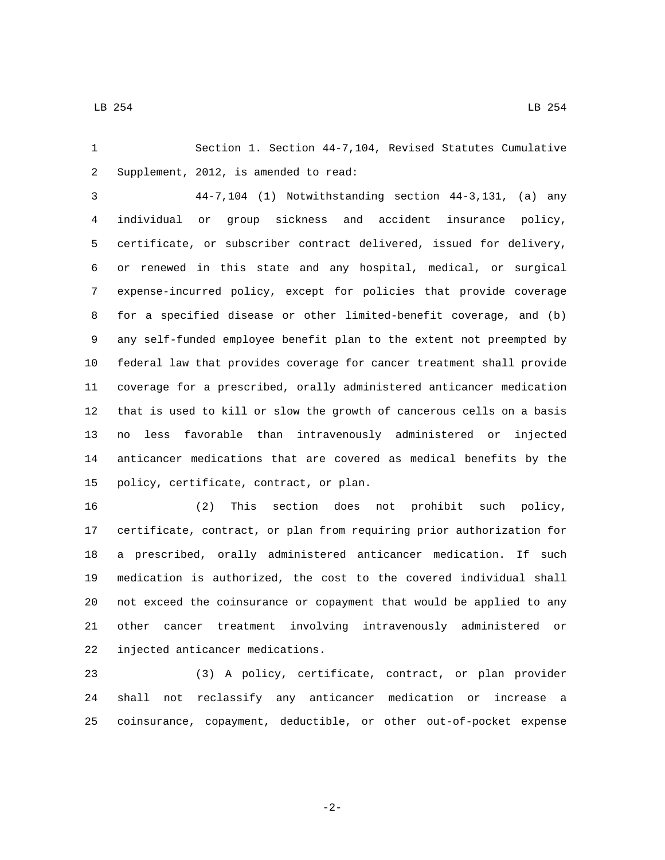Section 1. Section 44-7,104, Revised Statutes Cumulative 2 Supplement, 2012, is amended to read:

 44-7,104 (1) Notwithstanding section 44-3,131, (a) any individual or group sickness and accident insurance policy, certificate, or subscriber contract delivered, issued for delivery, or renewed in this state and any hospital, medical, or surgical expense-incurred policy, except for policies that provide coverage for a specified disease or other limited-benefit coverage, and (b) any self-funded employee benefit plan to the extent not preempted by federal law that provides coverage for cancer treatment shall provide coverage for a prescribed, orally administered anticancer medication that is used to kill or slow the growth of cancerous cells on a basis no less favorable than intravenously administered or injected anticancer medications that are covered as medical benefits by the 15 policy, certificate, contract, or plan.

 (2) This section does not prohibit such policy, certificate, contract, or plan from requiring prior authorization for a prescribed, orally administered anticancer medication. If such medication is authorized, the cost to the covered individual shall not exceed the coinsurance or copayment that would be applied to any other cancer treatment involving intravenously administered or 22 injected anticancer medications.

 (3) A policy, certificate, contract, or plan provider shall not reclassify any anticancer medication or increase a coinsurance, copayment, deductible, or other out-of-pocket expense

-2-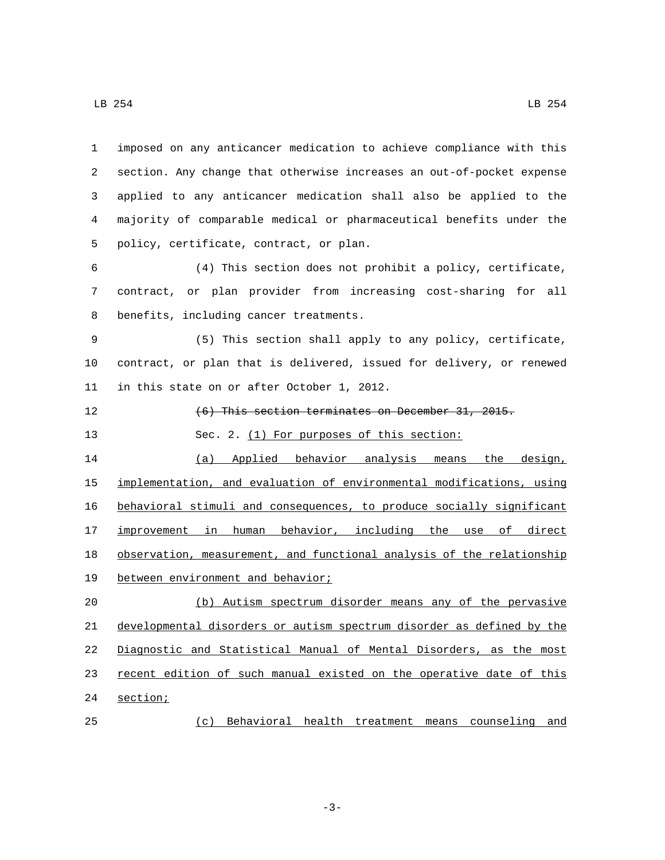| $\mathbf{1}$ | imposed on any anticancer medication to achieve compliance with this         |
|--------------|------------------------------------------------------------------------------|
| 2            | section. Any change that otherwise increases an out-of-pocket expense        |
| 3            | applied to any anticancer medication shall also be applied to the            |
| 4            | majority of comparable medical or pharmaceutical benefits under the          |
| 5            | policy, certificate, contract, or plan.                                      |
| 6            | (4) This section does not prohibit a policy, certificate,                    |
| 7            | contract, or plan provider from increasing cost-sharing for all              |
| 8            | benefits, including cancer treatments.                                       |
| 9            | (5) This section shall apply to any policy, certificate,                     |
| 10           | contract, or plan that is delivered, issued for delivery, or renewed         |
| 11           | in this state on or after October 1, 2012.                                   |
| 12           | (6) This section terminates on December 31, 2015.                            |
| 13           | Sec. 2. (1) For purposes of this section:                                    |
| 14           | (a) Applied behavior analysis means the design,                              |
| 15           | implementation, and evaluation of environmental modifications, using         |
| 16           | behavioral stimuli and consequences, to produce socially significant         |
| 17           | improvement in human behavior, including the use of direct                   |
| 18           | observation, measurement, and functional analysis of the relationship        |
| 19           | between environment and behavior;                                            |
| 20           | (b) Autism spectrum disorder means any of the pervasive                      |
| 21           | <u>developmental disorders or autism spectrum disorder as defined by the</u> |
| 22           | Diagnostic and Statistical Manual of Mental Disorders, as the most           |
| 23           | recent edition of such manual existed on the operative date of this          |
| 24           | section;                                                                     |

(c) Behavioral health treatment means counseling and

-3-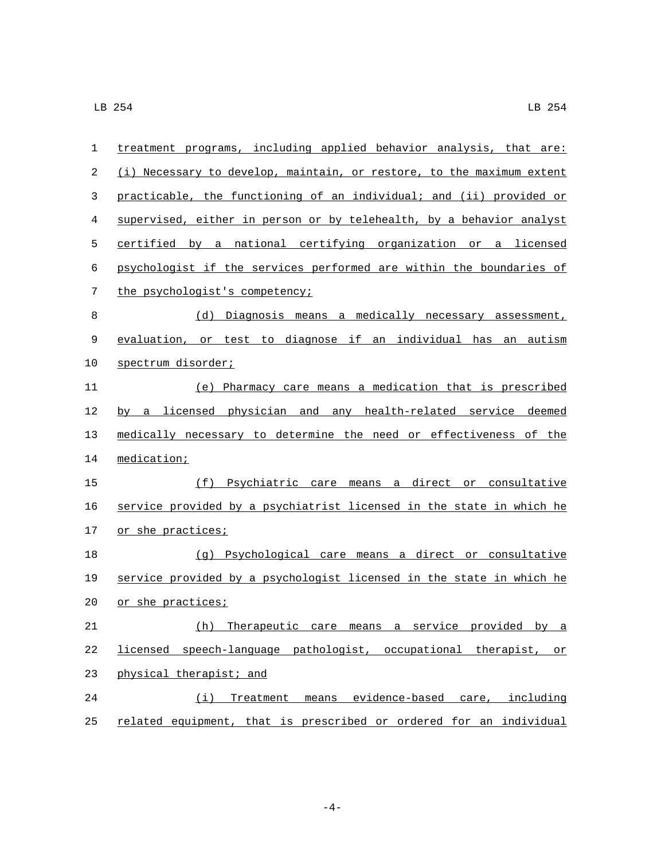| 1  | treatment programs, including applied behavior analysis, that are:    |
|----|-----------------------------------------------------------------------|
| 2  | (i) Necessary to develop, maintain, or restore, to the maximum extent |
| 3  | practicable, the functioning of an individual; and (ii) provided or   |
| 4  | supervised, either in person or by telehealth, by a behavior analyst  |
| 5  | certified by a national certifying organization or a licensed         |
| 6  | psychologist if the services performed are within the boundaries of   |
| 7  | the psychologist's competency;                                        |
| 8  | (d) Diagnosis means a medically necessary assessment,                 |
| 9  | evaluation, or test to diagnose if an individual has an autism        |
| 10 | spectrum disorder;                                                    |
| 11 | (e) Pharmacy care means a medication that is prescribed               |
| 12 | by a licensed physician and any health-related service deemed         |
| 13 | medically necessary to determine the need or effectiveness of the     |
| 14 | medication;                                                           |
| 15 | (f) Psychiatric care means a direct or consultative                   |
| 16 | service provided by a psychiatrist licensed in the state in which he  |
| 17 | or she practices;                                                     |
| 18 | (g) Psychological care means a direct or consultative                 |
| 19 | service provided by a psychologist licensed in the state in which he  |
| 20 | or she practices;                                                     |
| 21 | (h)<br>Therapeutic care means a service provided by a                 |
| 22 | licensed speech-language pathologist, occupational therapist, or      |
| 23 | physical therapist; and                                               |
| 24 | (i) Treatment means evidence-based care, including                    |
| 25 | related equipment, that is prescribed or ordered for an individual    |

-4-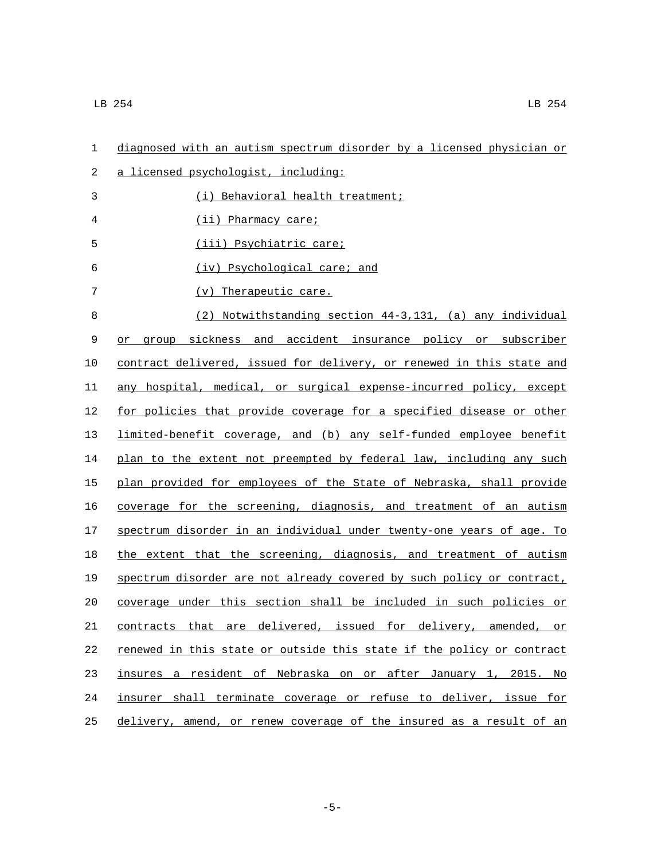| 1  | diagnosed with an autism spectrum disorder by a licensed physician or |
|----|-----------------------------------------------------------------------|
| 2  | a licensed psychologist, including:                                   |
| 3  | (i) Behavioral health treatment;                                      |
| 4  | (ii) Pharmacy care;                                                   |
| 5  | (iii) Psychiatric care;                                               |
| 6  | (iv) Psychological care; and                                          |
| 7  | $(v)$ Therapeutic care.                                               |
| 8  | (2) Notwithstanding section 44-3,131, (a) any individual              |
| 9  | group sickness and accident insurance policy or subscriber<br>or      |
| 10 | contract delivered, issued for delivery, or renewed in this state and |
| 11 | any hospital, medical, or surgical expense-incurred policy, except    |
| 12 | for policies that provide coverage for a specified disease or other   |
| 13 | limited-benefit coverage, and (b) any self-funded employee benefit    |
| 14 | plan to the extent not preempted by federal law, including any such   |
| 15 | plan provided for employees of the State of Nebraska, shall provide   |
| 16 | coverage for the screening, diagnosis, and treatment of an autism     |
| 17 | spectrum disorder in an individual under twenty-one years of age. To  |
| 18 | the extent that the screening, diagnosis, and treatment of autism     |
| 19 | spectrum disorder are not already covered by such policy or contract, |
| 20 | coverage under this section shall be included in such policies or     |
| 21 | contracts that are delivered, issued for delivery, amended, or        |
| 22 | renewed in this state or outside this state if the policy or contract |
| 23 | insures a resident of Nebraska on or after January 1, 2015. No        |
| 24 | insurer shall terminate coverage or refuse to deliver, issue for      |
| 25 | delivery, amend, or renew coverage of the insured as a result of an   |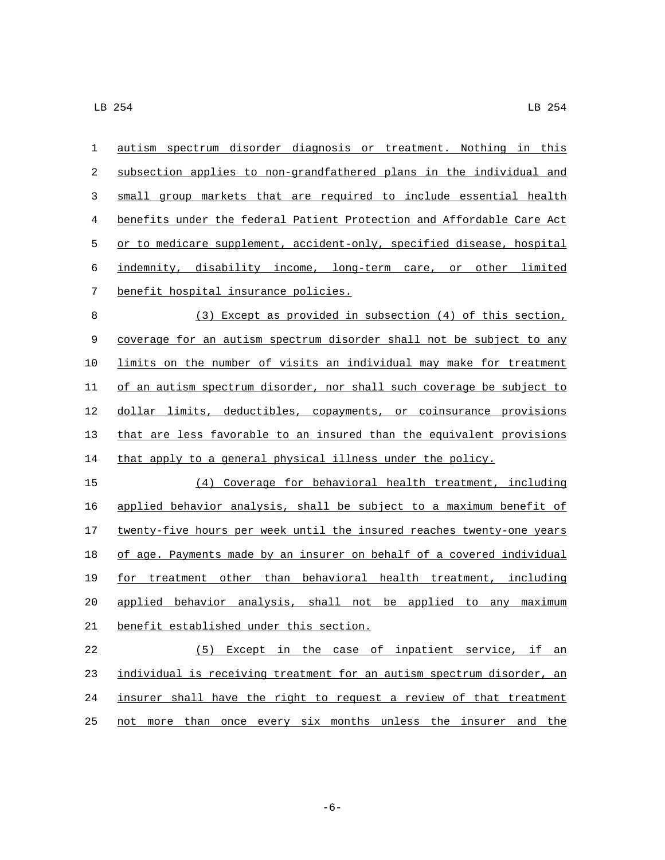autism spectrum disorder diagnosis or treatment. Nothing in this subsection applies to non-grandfathered plans in the individual and small group markets that are required to include essential health benefits under the federal Patient Protection and Affordable Care Act 5 or to medicare supplement, accident-only, specified disease, hospital indemnity, disability income, long-term care, or other limited 7 benefit hospital insurance policies. (3) Except as provided in subsection (4) of this section, coverage for an autism spectrum disorder shall not be subject to any limits on the number of visits an individual may make for treatment of an autism spectrum disorder, nor shall such coverage be subject to dollar limits, deductibles, copayments, or coinsurance provisions that are less favorable to an insured than the equivalent provisions

that apply to a general physical illness under the policy.

 (4) Coverage for behavioral health treatment, including applied behavior analysis, shall be subject to a maximum benefit of 17 twenty-five hours per week until the insured reaches twenty-one years of age. Payments made by an insurer on behalf of a covered individual for treatment other than behavioral health treatment, including applied behavior analysis, shall not be applied to any maximum 21 benefit established under this section.

 (5) Except in the case of inpatient service, if an individual is receiving treatment for an autism spectrum disorder, an insurer shall have the right to request a review of that treatment not more than once every six months unless the insurer and the

-6-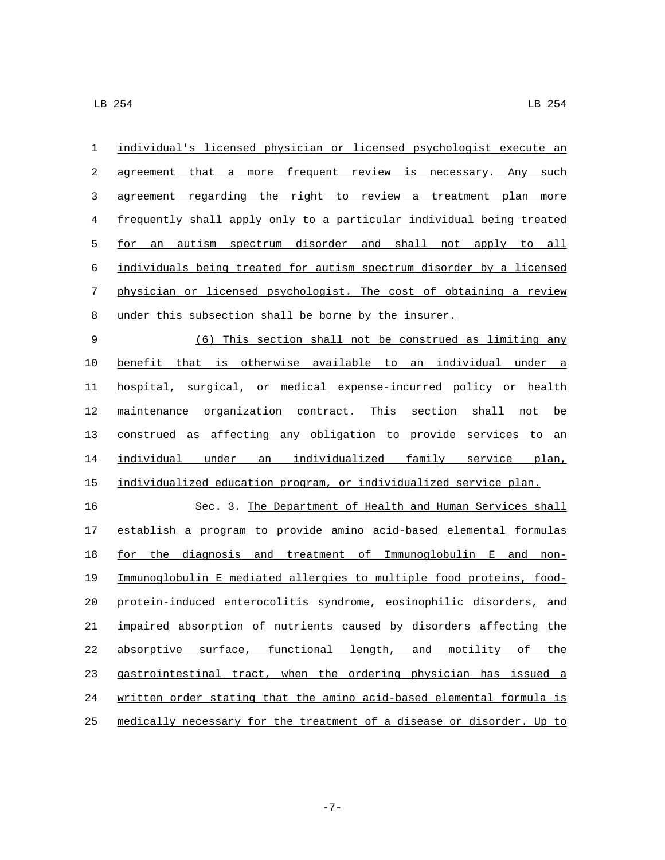| $\mathbf{1}$ | individual's licensed physician or licensed psychologist execute an   |
|--------------|-----------------------------------------------------------------------|
| 2            | agreement that a more frequent review is necessary. Any such          |
| 3            | agreement regarding the right to review a treatment plan more         |
| 4            | frequently shall apply only to a particular individual being treated  |
| 5            | autism spectrum disorder and shall not apply to all<br>for<br>an      |
| 6            | individuals being treated for autism spectrum disorder by a licensed  |
| 7            | physician or licensed psychologist. The cost of obtaining a review    |
| 8            | under this subsection shall be borne by the insurer.                  |
| 9            | (6) This section shall not be construed as limiting any               |
| 10           | benefit that is otherwise available to an individual under a          |
| 11           | hospital, surgical, or medical expense-incurred policy or health      |
| 12           | maintenance organization contract. This section shall not be          |
| 13           | construed as affecting any obligation to provide services to an       |
| 14           | individual under an individualized family service plan,               |
| 15           | individualized education program, or individualized service plan.     |
| 16           | Sec. 3. The Department of Health and Human Services shall             |
| 17           | establish a program to provide amino acid-based elemental formulas    |
| 18           | for the diagnosis and treatment of Immunoglobulin E and non-          |
| 19           | Immunoglobulin E mediated allergies to multiple food proteins, food-  |
| 20           | protein-induced enterocolitis syndrome, eosinophilic disorders, and   |
| 21           | impaired absorption of nutrients caused by disorders affecting the    |
| 22           | absorptive surface, functional length, and motility of the            |
| 23           | gastrointestinal tract, when the ordering physician has issued a      |
| 24           | written order stating that the amino acid-based elemental formula is  |
| 25           | medically necessary for the treatment of a disease or disorder. Up to |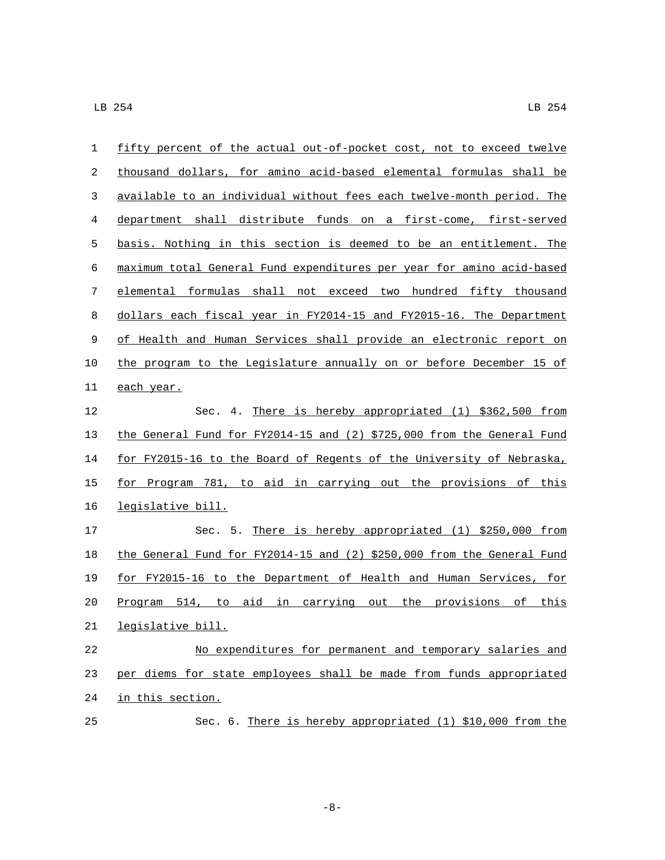| 1           | fifty percent of the actual out-of-pocket cost, not to exceed twelve   |
|-------------|------------------------------------------------------------------------|
| 2           | thousand dollars, for amino acid-based elemental formulas shall be     |
| 3           | available to an individual without fees each twelve-month period. The  |
| 4           | department shall distribute funds on a first-come, first-served        |
| 5           | basis. Nothing in this section is deemed to be an entitlement. The     |
| 6           | maximum total General Fund expenditures per year for amino acid-based  |
| 7           | elemental formulas shall not exceed two hundred fifty thousand         |
| 8           | dollars each fiscal year in FY2014-15 and FY2015-16. The Department    |
| $\mathsf 9$ | of Health and Human Services shall provide an electronic report on     |
| 10          | the program to the Legislature annually on or before December 15 of    |
| 11          | each year.                                                             |
| 12          | Sec. 4. There is hereby appropriated (1) \$362,500 from                |
| 13          | the General Fund for FY2014-15 and (2) \$725,000 from the General Fund |
| 14          | for FY2015-16 to the Board of Regents of the University of Nebraska,   |
| 15          | for Program 781, to aid in carrying out the provisions of this         |
| 16          | legislative bill.                                                      |
| 17          | Sec. 5. There is hereby appropriated (1) \$250,000 from                |
| 18          | the General Fund for FY2014-15 and (2) \$250,000 from the General Fund |
| 19          | for FY2015-16 to the Department of Health and Human Services, for      |
| 20          | Program 514, to aid in carrying out the provisions of this             |
| 21          | legislative bill.                                                      |
| 22          | No expenditures for permanent and temporary salaries and               |
| 23          | per diems for state employees shall be made from funds appropriated    |
| 24          | in this section.                                                       |
| 25          | Sec. 6. There is hereby appropriated (1) \$10,000 from the             |